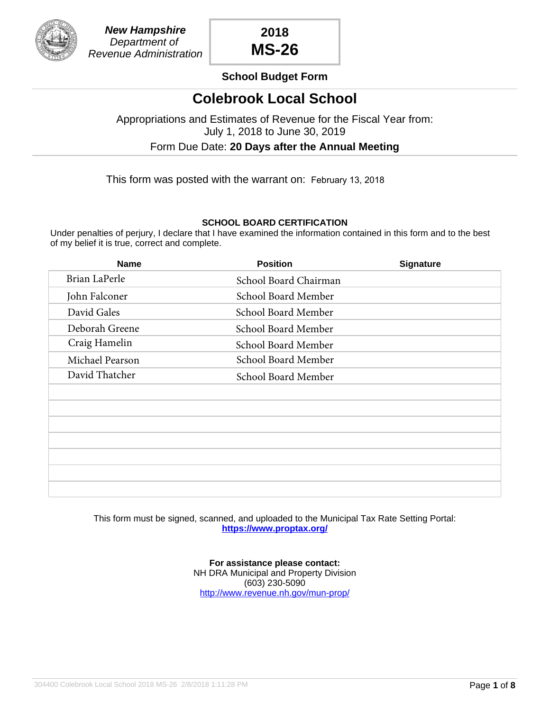

## **School Budget Form**

## **Colebrook Local School**

Appropriations and Estimates of Revenue for the Fiscal Year from: July 1, 2018 to June 30, 2019

Form Due Date: **20 Days after the Annual Meeting**

This form was posted with the warrant on: February 13, 2018

### **SCHOOL BOARD CERTIFICATION**

Under penalties of perjury, I declare that I have examined the information contained in this form and to the best of my belief it is true, correct and complete.

| <b>Name</b>     | <b>Position</b>       | <b>Signature</b> |
|-----------------|-----------------------|------------------|
| Brian LaPerle   | School Board Chairman |                  |
| John Falconer   | School Board Member   |                  |
| David Gales     | School Board Member   |                  |
| Deborah Greene  | School Board Member   |                  |
| Craig Hamelin   | School Board Member   |                  |
| Michael Pearson | School Board Member   |                  |
| David Thatcher  | School Board Member   |                  |
|                 |                       |                  |
|                 |                       |                  |
|                 |                       |                  |
|                 |                       |                  |
|                 |                       |                  |
|                 |                       |                  |
|                 |                       |                  |

This form must be signed, scanned, and uploaded to the Municipal Tax Rate Setting Portal: **<https://www.proptax.org/>**

> **For assistance please contact:** NH DRA Municipal and Property Division (603) 230-5090 <http://www.revenue.nh.gov/mun-prop/>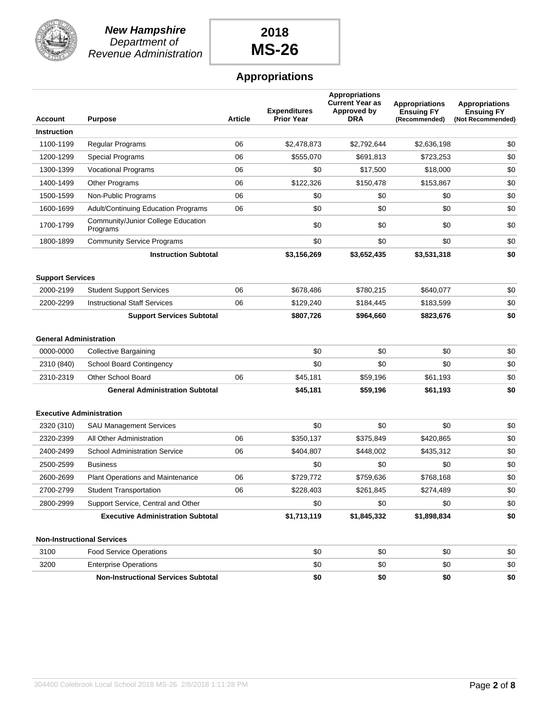

**New Hampshire** Department of Revenue Administration

# **2018 MS-26**

## **Appropriations**

| <b>Account</b>                  | <b>Purpose</b>                                 | <b>Article</b> | <b>Expenditures</b><br>Prior Year | <b>Appropriations</b><br><b>Current Year as</b><br>Approved by<br><b>DRA</b> | <b>Appropriations</b><br><b>Ensuing FY</b><br>(Recommended) | <b>Appropriations</b><br><b>Ensuing FY</b><br>(Not Recommended) |
|---------------------------------|------------------------------------------------|----------------|-----------------------------------|------------------------------------------------------------------------------|-------------------------------------------------------------|-----------------------------------------------------------------|
| <b>Instruction</b>              |                                                |                |                                   |                                                                              |                                                             |                                                                 |
| 1100-1199                       | Regular Programs                               | 06             | \$2,478,873                       | \$2,792,644                                                                  | \$2,636,198                                                 | \$0                                                             |
| 1200-1299                       | Special Programs                               | 06             | \$555,070                         | \$691,813                                                                    | \$723,253                                                   | \$0                                                             |
| 1300-1399                       | <b>Vocational Programs</b>                     | 06             | \$0                               | \$17,500                                                                     | \$18,000                                                    | \$0                                                             |
| 1400-1499                       | <b>Other Programs</b>                          | 06             | \$122,326                         | \$150,478                                                                    | \$153,867                                                   | \$0                                                             |
| 1500-1599                       | Non-Public Programs                            | 06             | \$0                               | \$0                                                                          | \$0                                                         | \$0                                                             |
| 1600-1699                       | <b>Adult/Continuing Education Programs</b>     | 06             | \$0                               | \$0                                                                          | \$0                                                         | \$0                                                             |
| 1700-1799                       | Community/Junior College Education<br>Programs |                | \$0                               | \$0                                                                          | \$0                                                         | \$0                                                             |
| 1800-1899                       | <b>Community Service Programs</b>              |                | \$0                               | \$0                                                                          | \$0                                                         | \$0                                                             |
|                                 | <b>Instruction Subtotal</b>                    |                | \$3,156,269                       | \$3,652,435                                                                  | \$3,531,318                                                 | \$0                                                             |
| <b>Support Services</b>         |                                                |                |                                   |                                                                              |                                                             |                                                                 |
| 2000-2199                       | <b>Student Support Services</b>                | 06             | \$678,486                         | \$780,215                                                                    | \$640,077                                                   | \$0                                                             |
| 2200-2299                       | <b>Instructional Staff Services</b>            | 06             | \$129,240                         | \$184,445                                                                    | \$183,599                                                   | \$0                                                             |
|                                 | <b>Support Services Subtotal</b>               |                | \$807,726                         | \$964,660                                                                    | \$823,676                                                   | \$0                                                             |
| <b>General Administration</b>   |                                                |                |                                   |                                                                              |                                                             |                                                                 |
| 0000-0000                       | <b>Collective Bargaining</b>                   |                | \$0                               | \$0                                                                          | \$0                                                         | \$0                                                             |
| 2310 (840)                      | <b>School Board Contingency</b>                |                | \$0                               | \$0                                                                          | \$0                                                         | \$0                                                             |
| 2310-2319                       | <b>Other School Board</b>                      | 06             | \$45,181                          | \$59,196                                                                     | \$61,193                                                    | \$0                                                             |
|                                 | <b>General Administration Subtotal</b>         |                | \$45,181                          | \$59,196                                                                     | \$61,193                                                    | \$0                                                             |
| <b>Executive Administration</b> |                                                |                |                                   |                                                                              |                                                             |                                                                 |
| 2320 (310)                      | <b>SAU Management Services</b>                 |                | \$0                               | \$0                                                                          | \$0                                                         | \$0                                                             |
| 2320-2399                       | All Other Administration                       | 06             | \$350,137                         | \$375,849                                                                    | \$420,865                                                   | \$0                                                             |
| 2400-2499                       | <b>School Administration Service</b>           | 06             | \$404,807                         | \$448,002                                                                    | \$435,312                                                   | \$0                                                             |
| 2500-2599                       | <b>Business</b>                                |                | \$0                               | \$0                                                                          | \$0                                                         | \$0                                                             |
| 2600-2699                       | <b>Plant Operations and Maintenance</b>        | 06             | \$729,772                         | \$759.636                                                                    | \$768,168                                                   | \$0                                                             |
| 2700-2799                       | <b>Student Transportation</b>                  | 06             | \$228,403                         | \$261,845                                                                    | \$274,489                                                   | \$0                                                             |
| 2800-2999                       | Support Service, Central and Other             |                | \$0                               | \$0                                                                          | \$0                                                         | \$0                                                             |
|                                 | <b>Executive Administration Subtotal</b>       |                | \$1,713,119                       | \$1,845,332                                                                  | \$1,898,834                                                 | \$0                                                             |
|                                 | <b>Non-Instructional Services</b>              |                |                                   |                                                                              |                                                             |                                                                 |
| 3100                            | <b>Food Service Operations</b>                 |                | \$0                               | \$0                                                                          | \$0                                                         | \$0                                                             |
| 3200                            | <b>Enterprise Operations</b>                   |                | \$0                               | \$0                                                                          | \$0                                                         | \$0                                                             |
|                                 | <b>Non-Instructional Services Subtotal</b>     |                | \$0                               | \$0                                                                          | \$0                                                         | \$0                                                             |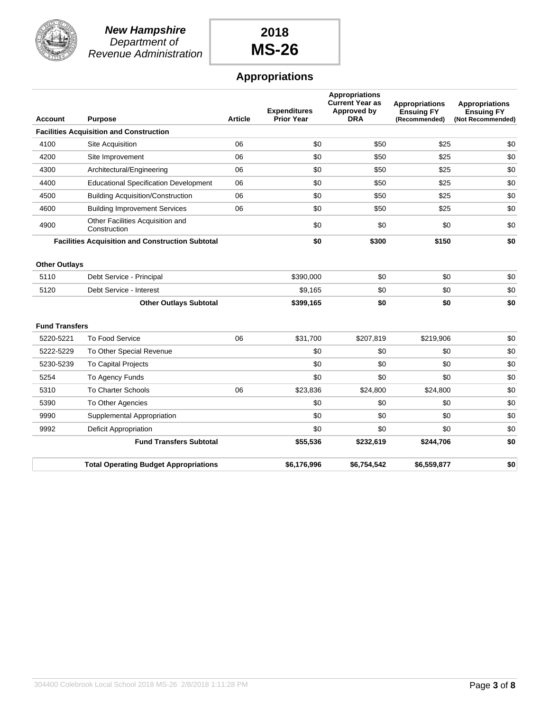

**New Hampshire** Department of Revenue Administration

# **2018 MS-26**

## **Appropriations**

|                       |                                                         |                | <b>Expenditures</b> | <b>Appropriations</b><br><b>Current Year as</b><br>Approved by | <b>Appropriations</b><br><b>Ensuing FY</b> | <b>Appropriations</b><br><b>Ensuing FY</b> |
|-----------------------|---------------------------------------------------------|----------------|---------------------|----------------------------------------------------------------|--------------------------------------------|--------------------------------------------|
| <b>Account</b>        | <b>Purpose</b>                                          | <b>Article</b> | Prior Year          | <b>DRA</b>                                                     | (Recommended)                              | (Not Recommended)                          |
|                       | <b>Facilities Acquisition and Construction</b>          |                |                     |                                                                |                                            |                                            |
| 4100                  | Site Acquisition                                        | 06             | \$0                 | \$50                                                           | \$25                                       | \$0                                        |
| 4200                  | Site Improvement                                        | 06             | \$0                 | \$50                                                           | \$25                                       | \$0                                        |
| 4300                  | Architectural/Engineering                               | 06             | \$0                 | \$50                                                           | \$25                                       | \$0                                        |
| 4400                  | <b>Educational Specification Development</b>            | 06             | \$0                 | \$50                                                           | \$25                                       | \$0                                        |
| 4500                  | <b>Building Acquisition/Construction</b>                | 06             | \$0                 | \$50                                                           | \$25                                       | \$0                                        |
| 4600                  | <b>Building Improvement Services</b>                    | 06             | \$0                 | \$50                                                           | \$25                                       | \$0                                        |
| 4900                  | Other Facilities Acquisition and<br>Construction        |                | \$0                 | \$0                                                            | \$0                                        | \$0                                        |
|                       | <b>Facilities Acquisition and Construction Subtotal</b> |                | \$0                 | \$300                                                          | \$150                                      | \$0                                        |
| <b>Other Outlays</b>  |                                                         |                |                     |                                                                |                                            |                                            |
| 5110                  | Debt Service - Principal                                |                | \$390.000           | \$0                                                            | \$0                                        | \$0                                        |
| 5120                  | Debt Service - Interest                                 |                | \$9,165             | \$0                                                            | \$0                                        | \$0                                        |
|                       | <b>Other Outlays Subtotal</b>                           |                | \$399,165           | \$0                                                            | \$0                                        | \$0                                        |
| <b>Fund Transfers</b> |                                                         |                |                     |                                                                |                                            |                                            |
| 5220-5221             | To Food Service                                         | 06             | \$31,700            | \$207,819                                                      | \$219,906                                  | \$0                                        |
| 5222-5229             | To Other Special Revenue                                |                | \$0                 | \$0                                                            | \$0                                        | \$0                                        |
| 5230-5239             | <b>To Capital Projects</b>                              |                | \$0                 | \$0                                                            | \$0                                        | \$0                                        |
| 5254                  | To Agency Funds                                         |                | \$0                 | \$0                                                            | \$0                                        | \$0                                        |
| 5310                  | <b>To Charter Schools</b>                               | 06             | \$23,836            | \$24,800                                                       | \$24,800                                   | \$0                                        |
| 5390                  | To Other Agencies                                       |                | \$0                 | \$0                                                            | \$0                                        | \$0                                        |
| 9990                  | Supplemental Appropriation                              |                | \$0                 | \$0                                                            | \$0                                        | \$0                                        |
| 9992                  | <b>Deficit Appropriation</b>                            |                | \$0                 | \$0                                                            | \$0                                        | \$0                                        |
|                       | <b>Fund Transfers Subtotal</b>                          |                | \$55,536            | \$232,619                                                      | \$244,706                                  | \$0                                        |
|                       | <b>Total Operating Budget Appropriations</b>            |                | \$6,176,996         | \$6,754,542                                                    | \$6,559,877                                | \$0                                        |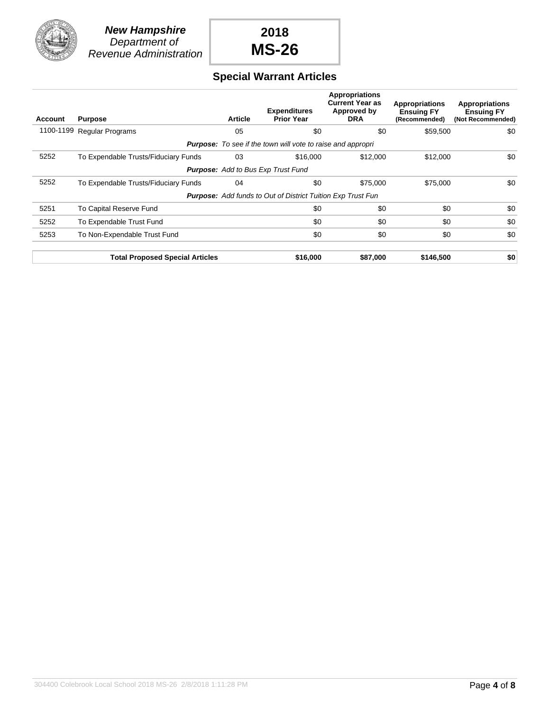

## **Special Warrant Articles**

| Account   | <b>Purpose</b>                         | <b>Article</b> | <b>Expenditures</b><br><b>Prior Year</b>                           | <b>Appropriations</b><br><b>Current Year as</b><br>Approved by<br><b>DRA</b> | <b>Appropriations</b><br><b>Ensuing FY</b><br>(Recommended) | <b>Appropriations</b><br><b>Ensuing FY</b><br>(Not Recommended) |
|-----------|----------------------------------------|----------------|--------------------------------------------------------------------|------------------------------------------------------------------------------|-------------------------------------------------------------|-----------------------------------------------------------------|
| 1100-1199 | <b>Regular Programs</b>                | 05             | \$0                                                                | \$0                                                                          | \$59,500                                                    | \$0                                                             |
|           |                                        |                | <b>Purpose:</b> To see if the town will vote to raise and appropri |                                                                              |                                                             |                                                                 |
| 5252      | To Expendable Trusts/Fiduciary Funds   | 03             | \$16,000                                                           | \$12,000                                                                     | \$12,000                                                    | \$0                                                             |
|           |                                        |                | <b>Purpose:</b> Add to Bus Exp Trust Fund                          |                                                                              |                                                             |                                                                 |
| 5252      | To Expendable Trusts/Fiduciary Funds   | 04             | \$0                                                                | \$75,000                                                                     | \$75,000                                                    | \$0                                                             |
|           |                                        |                | <b>Purpose:</b> Add funds to Out of District Tuition Exp Trust Fun |                                                                              |                                                             |                                                                 |
| 5251      | To Capital Reserve Fund                |                | \$0                                                                | \$0                                                                          | \$0                                                         | \$0                                                             |
| 5252      | To Expendable Trust Fund               |                | \$0                                                                | \$0                                                                          | \$0                                                         | \$0                                                             |
| 5253      | To Non-Expendable Trust Fund           |                | \$0                                                                | \$0                                                                          | \$0                                                         | \$0                                                             |
|           | <b>Total Proposed Special Articles</b> |                | \$16,000                                                           | \$87,000                                                                     | \$146,500                                                   | \$0                                                             |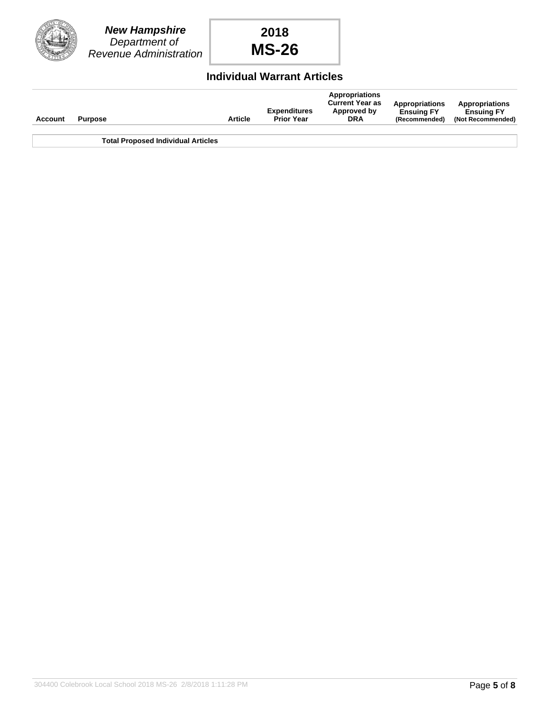

### **Individual Warrant Articles**

| Account | <b>Purpose</b>                            | <b>Article</b> | <b>Expenditures</b><br><b>Prior Year</b> | <b>Appropriations</b><br><b>Current Year as</b><br>Approved by<br><b>DRA</b> | <b>Appropriations</b><br><b>Ensuing FY</b><br>(Recommended) | <b>Appropriations</b><br><b>Ensuing FY</b><br>(Not Recommended) |
|---------|-------------------------------------------|----------------|------------------------------------------|------------------------------------------------------------------------------|-------------------------------------------------------------|-----------------------------------------------------------------|
|         | <b>Total Proposed Individual Articles</b> |                |                                          |                                                                              |                                                             |                                                                 |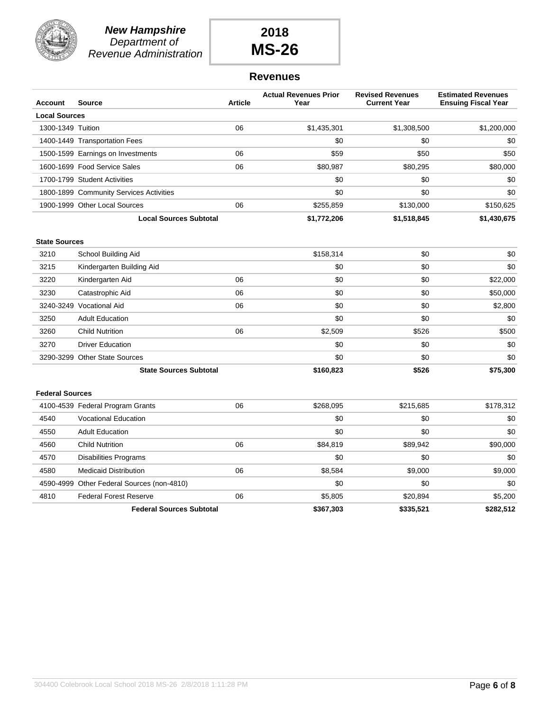

**New Hampshire** Department of Revenue Administration

# **2018 MS-26**

### **Revenues**

| <b>Account</b>         | <b>Source</b>                              | <b>Article</b> | <b>Actual Revenues Prior</b><br>Year | <b>Revised Revenues</b><br><b>Current Year</b> | <b>Estimated Revenues</b><br><b>Ensuing Fiscal Year</b> |
|------------------------|--------------------------------------------|----------------|--------------------------------------|------------------------------------------------|---------------------------------------------------------|
| <b>Local Sources</b>   |                                            |                |                                      |                                                |                                                         |
| 1300-1349 Tuition      |                                            | 06             | \$1,435,301                          | \$1,308,500                                    | \$1,200,000                                             |
|                        | 1400-1449 Transportation Fees              |                | \$0                                  | \$0                                            | \$0                                                     |
|                        | 1500-1599 Earnings on Investments          | 06             | \$59                                 | \$50                                           | \$50                                                    |
|                        | 1600-1699 Food Service Sales               | 06             | \$80,987                             | \$80,295                                       | \$80,000                                                |
|                        | 1700-1799 Student Activities               |                | \$0                                  | \$0                                            | \$0                                                     |
|                        | 1800-1899 Community Services Activities    |                | \$0                                  | \$0                                            | \$0                                                     |
|                        | 1900-1999 Other Local Sources              | 06             | \$255,859                            | \$130,000                                      | \$150,625                                               |
|                        | <b>Local Sources Subtotal</b>              |                | \$1,772,206                          | \$1,518,845                                    | \$1,430,675                                             |
| <b>State Sources</b>   |                                            |                |                                      |                                                |                                                         |
| 3210                   | School Building Aid                        |                | \$158,314                            | \$0                                            | \$0                                                     |
| 3215                   | Kindergarten Building Aid                  |                | \$0                                  | \$0                                            | \$0                                                     |
| 3220                   | Kindergarten Aid                           | 06             | \$0                                  | \$0                                            | \$22,000                                                |
| 3230                   | Catastrophic Aid                           | 06             | \$0                                  | \$0                                            | \$50,000                                                |
|                        | 3240-3249 Vocational Aid                   | 06             | \$0                                  | \$0                                            | \$2,800                                                 |
| 3250                   | <b>Adult Education</b>                     |                | \$0                                  | \$0                                            | \$0                                                     |
| 3260                   | <b>Child Nutrition</b>                     | 06             | \$2,509                              | \$526                                          | \$500                                                   |
| 3270                   | <b>Driver Education</b>                    |                | \$0                                  | \$0                                            | \$0                                                     |
|                        | 3290-3299 Other State Sources              |                | \$0                                  | \$0                                            | \$0                                                     |
|                        | <b>State Sources Subtotal</b>              |                | \$160,823                            | \$526                                          | \$75,300                                                |
| <b>Federal Sources</b> |                                            |                |                                      |                                                |                                                         |
|                        | 4100-4539 Federal Program Grants           | 06             | \$268,095                            | \$215,685                                      | \$178,312                                               |
| 4540                   | <b>Vocational Education</b>                |                | \$0                                  | \$0                                            | \$0                                                     |
| 4550                   | <b>Adult Education</b>                     |                | \$0                                  | \$0                                            | \$0                                                     |
| 4560                   | <b>Child Nutrition</b>                     | 06             | \$84,819                             | \$89,942                                       | \$90,000                                                |
| 4570                   | <b>Disabilities Programs</b>               |                | \$0                                  | \$0                                            | \$0                                                     |
| 4580                   | <b>Medicaid Distribution</b>               | 06             | \$8,584                              | \$9,000                                        | \$9,000                                                 |
|                        | 4590-4999 Other Federal Sources (non-4810) |                | \$0                                  | \$0                                            | \$0                                                     |

4810 Federal Forest Reserve **06** 06 \$5,805 \$20,894 \$5,200

**Federal Sources Subtotal \$367,303 \$335,521 \$282,512**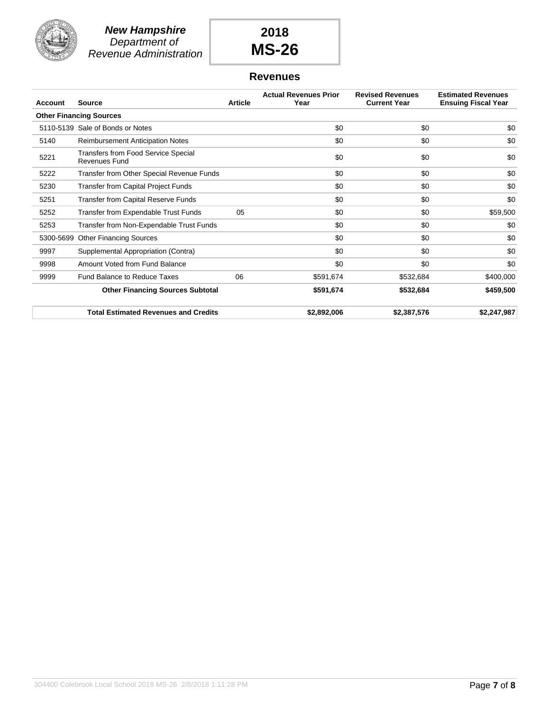

### **Revenues**

| <b>Account</b> | <b>Source</b>                                               | <b>Article</b> | <b>Actual Revenues Prior</b><br>Year | <b>Revised Revenues</b><br><b>Current Year</b> | <b>Estimated Revenues</b><br><b>Ensuing Fiscal Year</b> |
|----------------|-------------------------------------------------------------|----------------|--------------------------------------|------------------------------------------------|---------------------------------------------------------|
|                | <b>Other Financing Sources</b>                              |                |                                      |                                                |                                                         |
|                | 5110-5139 Sale of Bonds or Notes                            |                | \$0                                  | \$0                                            | \$0                                                     |
| 5140           | <b>Reimbursement Anticipation Notes</b>                     |                | \$0                                  | \$0                                            | \$0                                                     |
| 5221           | <b>Transfers from Food Service Special</b><br>Revenues Fund |                | \$0                                  | \$0                                            | \$0                                                     |
| 5222           | Transfer from Other Special Revenue Funds                   |                | \$0                                  | \$0                                            | \$0                                                     |
| 5230           | <b>Transfer from Capital Project Funds</b>                  |                | \$0                                  | \$0                                            | \$0                                                     |
| 5251           | <b>Transfer from Capital Reserve Funds</b>                  |                | \$0                                  | \$0                                            | \$0                                                     |
| 5252           | Transfer from Expendable Trust Funds                        | 05             | \$0                                  | \$0                                            | \$59,500                                                |
| 5253           | Transfer from Non-Expendable Trust Funds                    |                | \$0                                  | \$0                                            | \$0                                                     |
| 5300-5699      | <b>Other Financing Sources</b>                              |                | \$0                                  | \$0                                            | \$0                                                     |
| 9997           | Supplemental Appropriation (Contra)                         |                | \$0                                  | \$0                                            | \$0                                                     |
| 9998           | Amount Voted from Fund Balance                              |                | \$0                                  | \$0                                            | \$0                                                     |
| 9999           | Fund Balance to Reduce Taxes                                | 06             | \$591,674                            | \$532,684                                      | \$400,000                                               |
|                | <b>Other Financing Sources Subtotal</b>                     |                | \$591,674                            | \$532,684                                      | \$459,500                                               |
|                | <b>Total Estimated Revenues and Credits</b>                 |                | \$2,892,006                          | \$2,387,576                                    | \$2,247,987                                             |